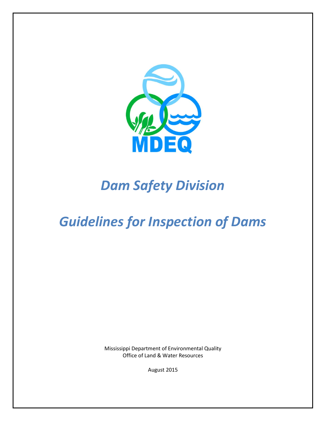

# *Dam Safety Division*

# *Guidelines for Inspection of Dams*

Mississippi Department of Environmental Quality Office of Land & Water Resources

August 2015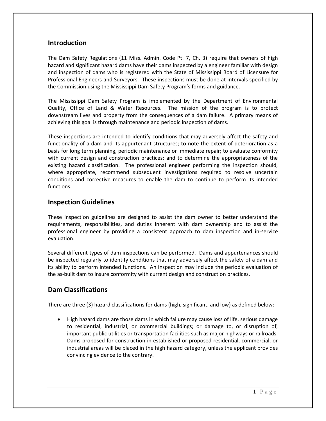## **Introduction**

The Dam Safety Regulations (11 Miss. Admin. Code Pt. 7, Ch. 3) require that owners of high hazard and significant hazard dams have their dams inspected by a engineer familiar with design and inspection of dams who is registered with the State of Mississippi Board of Licensure for Professional Engineers and Surveyors. These inspections must be done at intervals specified by the Commission using the Mississippi Dam Safety Program's forms and guidance.

The Mississippi Dam Safety Program is implemented by the Department of Environmental Quality, Office of Land & Water Resources. The mission of the program is to protect downstream lives and property from the consequences of a dam failure. A primary means of achieving this goal is through maintenance and periodic inspection of dams.

These inspections are intended to identify conditions that may adversely affect the safety and functionality of a dam and its appurtenant structures; to note the extent of deterioration as a basis for long term planning, periodic maintenance or immediate repair; to evaluate conformity with current design and construction practices; and to determine the appropriateness of the existing hazard classification. The professional engineer performing the inspection should, where appropriate, recommend subsequent investigations required to resolve uncertain conditions and corrective measures to enable the dam to continue to perform its intended functions.

## **Inspection Guidelines**

These inspection guidelines are designed to assist the dam owner to better understand the requirements, responsibilities, and duties inherent with dam ownership and to assist the professional engineer by providing a consistent approach to dam inspection and in-service evaluation.

Several different types of dam inspections can be performed. Dams and appurtenances should be inspected regularly to identify conditions that may adversely affect the safety of a dam and its ability to perform intended functions. An inspection may include the periodic evaluation of the as-built dam to insure conformity with current design and construction practices.

## **Dam Classifications**

There are three (3) hazard classifications for dams (high, significant, and low) as defined below:

 High hazard dams are those dams in which failure may cause loss of life, serious damage to residential, industrial, or commercial buildings; or damage to, or disruption of, important public utilities or transportation facilities such as major highways or railroads. Dams proposed for construction in established or proposed residential, commercial, or industrial areas will be placed in the high hazard category, unless the applicant provides convincing evidence to the contrary.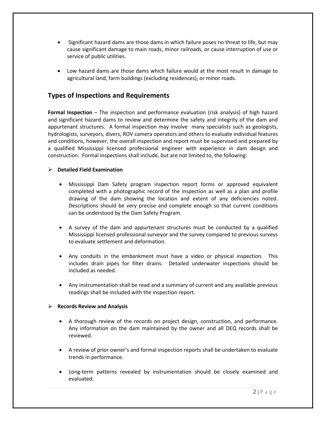- Significant hazard dams are those dams in which failure poses no threat to life, but may cause significant damage to main roads, minor railroads, or cause interruption of use or service of public utilities.
- Low hazard dams are those dams which failure would at the most result in damage to agricultural land, farm buildings (excluding residences), or minor roads.

# **Types of Inspections and Requirements**

**Formal Inspection** – The inspection and performance evaluation (risk analysis) of high hazard and significant hazard dams to review and determine the safety and integrity of the dam and appurtenant structures. A formal inspection may involve many specialists such as geologists, hydrologists, surveyors, divers, ROV camera operators and others to evaluate individual features and conditions, however, the overall inspection and report must be supervised and prepared by a qualified Mississippi licensed professional engineer with experience in dam design and construction. Formal inspections shall include, but are not limited to, the following:

### **Detailed Field Examination**

- Mississippi Dam Safety program inspection report forms or approved equivalent completed with a photographic record of the inspection as well as a plan and profile drawing of the dam showing the location and extent of any deficiencies noted. Descriptions should be very precise and complete enough so that current conditions can be understood by the Dam Safety Program.
- A survey of the dam and appurtenant structures must be conducted by a qualified Mississippi licensed professional surveyor and the survey compared to previous surveys to evaluate settlement and deformation.
- Any conduits in the embankment must have a video or physical inspection. This includes drain pipes for filter drains. Detailed underwater inspections should be included as needed.
- Any instrumentation shall be read and a summary of current and any available previous readings shall be included with the inspection report.

#### **Records Review and Analysis**

- A thorough review of the records on project design, construction, and performance. Any information on the dam maintained by the owner and all DEQ records shall be reviewed.
- A review of prior owner's and formal inspection reports shall be undertaken to evaluate trends in performance.
- Long-term patterns revealed by instrumentation should be closely examined and evaluated.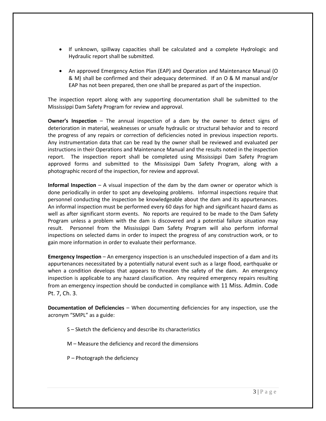- If unknown, spillway capacities shall be calculated and a complete Hydrologic and Hydraulic report shall be submitted.
- An approved Emergency Action Plan (EAP) and Operation and Maintenance Manual (O & M) shall be confirmed and their adequacy determined. If an O & M manual and/or EAP has not been prepared, then one shall be prepared as part of the inspection.

The inspection report along with any supporting documentation shall be submitted to the Mississippi Dam Safety Program for review and approval.

**Owner's Inspection** – The annual inspection of a dam by the owner to detect signs of deterioration in material, weaknesses or unsafe hydraulic or structural behavior and to record the progress of any repairs or correction of deficiencies noted in previous inspection reports. Any instrumentation data that can be read by the owner shall be reviewed and evaluated per instructions in their Operations and Maintenance Manual and the results noted in the inspection report. The inspection report shall be completed using Mississippi Dam Safety Program approved forms and submitted to the Mississippi Dam Safety Program, along with a photographic record of the inspection, for review and approval.

**Informal Inspection** – A visual inspection of the dam by the dam owner or operator which is done periodically in order to spot any developing problems. Informal inspections require that personnel conducting the inspection be knowledgeable about the dam and its appurtenances. An informal inspection must be performed every 60 days for high and significant hazard dams as well as after significant storm events. No reports are required to be made to the Dam Safety Program unless a problem with the dam is discovered and a potential failure situation may result. Personnel from the Mississippi Dam Safety Program will also perform informal inspections on selected dams in order to inspect the progress of any construction work, or to gain more information in order to evaluate their performance.

**Emergency Inspection** – An emergency inspection is an unscheduled inspection of a dam and its appurtenances necessitated by a potentially natural event such as a large flood, earthquake or when a condition develops that appears to threaten the safety of the dam. An emergency inspection is applicable to any hazard classification. Any required emergency repairs resulting from an emergency inspection should be conducted in compliance with 11 Miss. Admin. Code Pt. 7, Ch. 3.

**Documentation of Deficiencies** – When documenting deficiencies for any inspection, use the acronym "SMPL" as a guide:

- S Sketch the deficiency and describe its characteristics
- M Measure the deficiency and record the dimensions
- P Photograph the deficiency